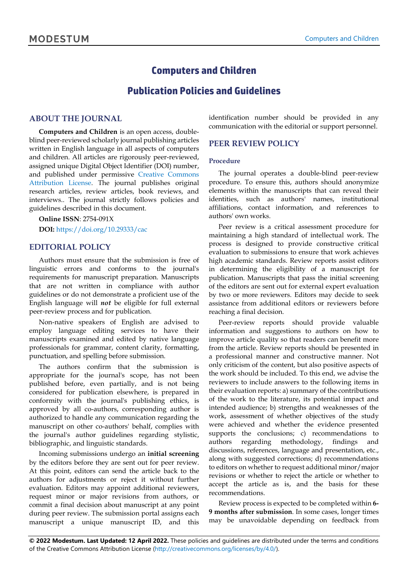# **Computers and Children**

# **Publication Policies and Guidelines**

#### **ABOUT THE JOURNAL**

**Computers and Children** is an open access, doubleblind peer-reviewed scholarly journal publishing articles written in English language in all aspects of computers and children. All articles are rigorously peer-reviewed, assigned unique Digital Object Identifier (DOI) number, and published under permissive [Creative Commons](http://creativecommons.org/licenses/by/4.0/)  [Attribution License.](http://creativecommons.org/licenses/by/4.0/) The journal publishes original research articles, review articles, book reviews, and interviews.. The journal strictly follows policies and guidelines described in this document.

**Online ISSN**: 2754-091X **DOI:** <https://doi.org/10.29333/cac>

#### **EDITORIAL POLICY**

Authors must ensure that the submission is free of linguistic errors and conforms to the journal's requirements for manuscript preparation. Manuscripts that are not written in compliance with author guidelines or do not demonstrate a proficient use of the English language will *not* be eligible for full external peer-review process and for publication.

Non-native speakers of English are advised to employ language editing services to have their manuscripts examined and edited by native language professionals for grammar, content clarity, formatting, punctuation, and spelling before submission.

The authors confirm that the submission is appropriate for the journal's scope, has not been published before, even partially, and is not being considered for publication elsewhere, is prepared in conformity with the journal's publishing ethics, is approved by all co-authors, corresponding author is authorized to handle any communication regarding the manuscript on other co-authors' behalf, complies with the journal's author guidelines regarding stylistic, bibliographic, and linguistic standards.

Incoming submissions undergo an **initial screening** by the editors before they are sent out for peer review. At this point, editors can send the article back to the authors for adjustments or reject it without further evaluation. Editors may appoint additional reviewers, request minor or major revisions from authors, or commit a final decision about manuscript at any point during peer review. The submission portal assigns each manuscript a unique manuscript ID, and this identification number should be provided in any communication with the editorial or support personnel.

## **PEER REVIEW POLICY**

#### **Procedure**

The journal operates a double-blind peer-review procedure. To ensure this, authors should anonymize elements within the manuscripts that can reveal their identities, such as authors' names, institutional affiliations, contact information, and references to authors' own works.

Peer review is a critical assessment procedure for maintaining a high standard of intellectual work. The process is designed to provide constructive critical evaluation to submissions to ensure that work achieves high academic standards. Review reports assist editors in determining the eligibility of a manuscript for publication. Manuscripts that pass the initial screening of the editors are sent out for external expert evaluation by two or more reviewers. Editors may decide to seek assistance from additional editors or reviewers before reaching a final decision.

Peer-review reports should provide valuable information and suggestions to authors on how to improve article quality so that readers can benefit more from the article. Review reports should be presented in a professional manner and constructive manner. Not only criticism of the content, but also positive aspects of the work should be included. To this end, we advise the reviewers to include answers to the following items in their evaluation reports: a) summary of the contributions of the work to the literature, its potential impact and intended audience; b) strengths and weaknesses of the work, assessment of whether objectives of the study were achieved and whether the evidence presented supports the conclusions; c) recommendations to authors regarding methodology, findings and discussions, references, language and presentation, etc., along with suggested corrections; d) recommendations to editors on whether to request additional minor/major revisions or whether to reject the article or whether to accept the article as is, and the basis for these recommendations.

Review process is expected to be completed within **6- 9 months after submission**. In some cases, longer times may be unavoidable depending on feedback from

**© 2022 Modestum. Last Updated: 12 April 2022.** These policies and guidelines are distributed under the terms and conditions of the Creative Commons Attribution License [\(http://creativecommons.org/licenses/by/4.0/\)](http://creativecommons.org/licenses/by/4.0/).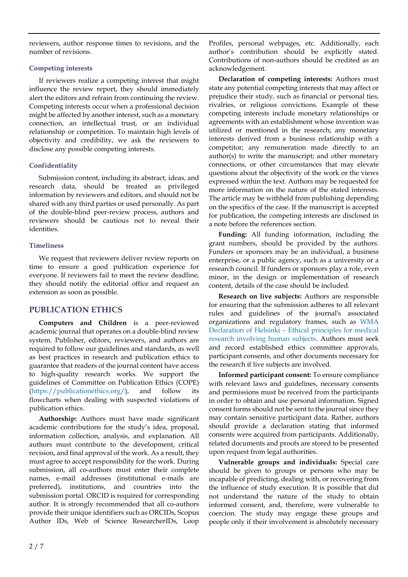reviewers, author response times to revisions, and the number of revisions.

#### **Competing interests**

If reviewers realize a competing interest that might influence the review report, they should immediately alert the editors and refrain from continuing the review. Competing interests occur when a professional decision might be affected by another interest, such as a monetary connection, an intellectual trust, or an individual relationship or competition. To maintain high levels of objectivity and credibility, we ask the reviewers to disclose any possible competing interests.

## **Confidentiality**

Submission content, including its abstract, ideas, and research data, should be treated as privileged information by reviewers and editors, and should not be shared with any third parties or used personally. As part of the double-blind peer-review process, authors and reviewers should be cautious not to reveal their identities.

## **Timeliness**

We request that reviewers deliver review reports on time to ensure a good publication experience for everyone. If reviewers fail to meet the review deadline, they should notify the editorial office and request an extension as soon as possible.

## **PUBLICATION ETHICS**

**Computers and Children** is a peer-reviewed academic journal that operates on a double-blind review system. Publisher, editors, reviewers, and authors are required to follow our guidelines and standards, as well as best practices in research and publication ethics to guarantee that readers of the journal content have access to high-quality research works. We support the guidelines of Committee on Publication Ethics (COPE) [\(https://publicationethics.org/\)](https://publicationethics.org/), and follow its flowcharts when dealing with suspected violations of publication ethics.

**Authorship:** Authors must have made significant academic contributions for the study's idea, proposal, information collection, analysis, and explanation. All authors must contribute to the development, critical revision, and final approval of the work. As a result, they must agree to accept responsibility for the work. During submission, all co-authors must enter their complete names, e-mail addresses (institutional e-mails are preferred), institutions, and countries into the submission portal. ORCID is required for corresponding author. It is strongly recommended that all co-authors provide their unique identifiers such as ORCIDs, Scopus Author IDs, Web of Science ResearcherIDs, Loop Profiles, personal webpages, etc. Additionally, each author's contribution should be explicitly stated. Contributions of non-authors should be credited as an acknowledgement.

**Declaration of competing interests:** Authors must state any potential competing interests that may affect or prejudice their study, such as financial or personal ties, rivalries, or religious convictions. Example of these competing interests include monetary relationships or agreements with an establishment whose invention was utilized or mentioned in the research; any monetary interests derived from a business relationship with a competitor; any remuneration made directly to an author(s) to write the manuscript; and other monetary connections, or other circumstances that may elevate questions about the objectivity of the work or the views expressed within the text. Authors may be requested for more information on the nature of the stated interests. The article may be withheld from publishing depending on the specifics of the case. If the manuscript is accepted for publication, the competing interests are disclosed in a note before the references section.

**Funding:** All funding information, including the grant numbers, should be provided by the authors. Funders or sponsors may be an individual, a business enterprise, or a public agency, such as a university or a research council. If funders or sponsors play a role, even minor, in the design or implementation of research content, details of the case should be included.

**Research on live subjects:** Authors are responsible for ensuring that the submission adheres to all relevant rules and guidelines of the journal's associated organizations and regulatory frames, such as [WMA](https://www.wma.net/policies-post/wma-declaration-of-helsinki-ethical-principles-for-medical-research-involving-human-subjects/) [Declaration](https://www.wma.net/policies-post/wma-declaration-of-helsinki-ethical-principles-for-medical-research-involving-human-subjects/) of Helsinki – Ethical principles for medical research [involving](https://www.wma.net/policies-post/wma-declaration-of-helsinki-ethical-principles-for-medical-research-involving-human-subjects/) human subjects. Authors must seek and record established ethics committee approvals, participant consents, and other documents necessary for the research if live subjects are involved.

**Informed participant consent:** To ensure compliance with relevant laws and guidelines, necessary consents and permissions must be received from the participants in order to obtain and use personal information. Signed consent forms should not be sent to the journal since they may contain sensitive participant data. Rather, authors should provide a declaration stating that informed consents were acquired from participants. Additionally, related documents and proofs are stored to be presented upon request from legal authorities.

**Vulnerable groups and individuals:** Special care should be given to groups or persons who may be incapable of predicting, dealing with, or recovering from the influence of study execution. It is possible that did not understand the nature of the study to obtain informed consent, and, therefore, were vulnerable to coercion. The study may engage these groups and people only if their involvement is absolutely necessary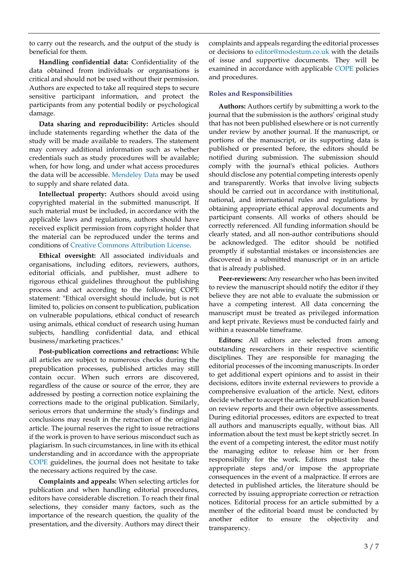to carry out the research, and the output of the study is beneficial for them.

**Handling confidential data:** Confidentiality of the data obtained from individuals or organisations is critical and should not be used without their permission. Authors are expected to take all required steps to secure sensitive participant information, and protect the participants from any potential bodily or psychological damage.

**Data sharing and reproducibility:** Articles should include statements regarding whether the data of the study will be made available to readers. The statement may convey additional information such as whether credentials such as study procedures will be available; when, for how long, and under what access procedures the data will be accessible. [Mendeley](https://data.mendeley.com/) Data may be used to supply and share related data.

**Intellectual property:** Authors should avoid using copyrighted material in the submitted manuscript. If such material must be included, in accordance with the applicable laws and regulations, authors should have received explicit permission from copyright holder that the material can be reproduced under the terms and conditions of Creative Commons [Attribution](https://creativecommons.org/licenses/by/4.0/) License.

**Ethical oversight:** All associated individuals and organisations, including editors, reviewers, authors, editorial officials, and publisher, must adhere to rigorous ethical guidelines throughout the publishing process and act according to the following COPE statement: "Ethical oversight should include, but is not limited to, policies on consent to publication, publication on vulnerable populations, ethical conduct of research using animals, ethical conduct of research using human subjects, handling confidential data, and ethical business/marketing practices."

**Post-publication corrections and retractions:** While all articles are subject to numerous checks during the prepublication processes, published articles may still contain occur. When such errors are discovered, regardless of the cause or source of the error, they are addressed by posting a correction notice explaining the corrections made to the original publication. Similarly, serious errors that undermine the study's findings and conclusions may result in the retraction of the original article. The journal reserves the right to issue retractions if the work is proven to have serious misconduct such as plagiarism. In such circumstances, in line with its ethical understanding and in accordance with the appropriate [COPE](https://publicationethics.org/) guidelines, the journal does not hesitate to take the necessary actions required by the case.

**Complaints and appeals:** When selecting articles for publication and when handling editorial procedures, editors have considerable discretion. To reach their final selections, they consider many factors, such as the importance of the research question, the quality of the presentation, and the diversity. Authors may direct their complaints and appeals regarding the editorial processes or decisions to [editor@modestum.co.uk](mailto:editor@modestum.co.uk) with the details of issue and supportive documents. They will be examined in accordance with applicable [COPE](https://publicationethics.org/) policies and procedures.

#### **Roles and Responsibilities**

**Authors:** Authors certify by submitting a work to the journal that the submission is the authors' original study that has not been published elsewhere or is not currently under review by another journal. If the manuscript, or portions of the manuscript, or its supporting data is published or presented before, the editors should be notified during submission. The submission should comply with the journal's ethical policies. Authors should disclose any potential competing interests openly and transparently. Works that involve living subjects should be carried out in accordance with institutional, national, and international rules and regulations by obtaining appropriate ethical approval documents and participant consents. All works of others should be correctly referenced. All funding information should be clearly stated, and all non-author contributions should be acknowledged. The editor should be notified promptly if substantial mistakes or inconsistencies are discovered in a submitted manuscript or in an article that is already published.

**Peer-reviewers:** Any researcher who has been invited to review the manuscript should notify the editor if they believe they are not able to evaluate the submission or have a competing interest. All data concerning the manuscript must be treated as privileged information and kept private. Reviews must be conducted fairly and within a reasonable timeframe.

**Editors:** All editors are selected from among outstanding researchers in their respective scientific disciplines. They are responsible for managing the editorial processes of the incoming manuscripts. In order to get additional expert opinions and to assist in their decisions, editors invite external reviewers to provide a comprehensive evaluation of the article. Next, editors decide whether to accept the article for publication based on review reports and their own objective assessments. During editorial processes, editors are expected to treat all authors and manuscripts equally, without bias. All information about the text must be kept strictly secret. In the event of a competing interest, the editor must notify the managing editor to release him or her from responsibility for the work. Editors must take the appropriate steps and/or impose the appropriate consequences in the event of a malpractice. If errors are detected in published articles, the literature should be corrected by issuing appropriate correction or retraction notices. Editorial process for an article submitted by a member of the editorial board must be conducted by another editor to ensure the objectivity and transparency.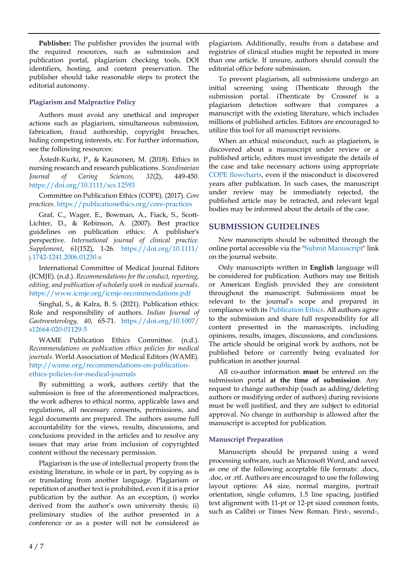**Publisher:** The publisher provides the journal with the required resources, such as submission and publication portal, plagiarism checking tools, DOI identifiers, hosting, and content preservation. The publisher should take reasonable steps to protect the editorial autonomy.

## **Plagiarism and Malpractice Policy**

Authors must avoid any unethical and improper actions such as plagiarism, simultaneous submission, fabrication, fraud authorship, copyright breaches, hiding competing interests, etc. For further information, see the following resources:

Åstedt-Kurki, P., & Kaunonen, M. (2018). Ethics in nursing research and research publications. *Scandinavian Journal of Caring Sciences, 32*(2), 449-450. <https://doi.org/10.1111/scs.12593>

Committee on Publication Ethics (COPE). (2017). *Core practices*. <https://publicationethics.org/core-practices>

Graf, C., Wager, E., Bowman, A., Fiack, S., Scott-Lichter, D., & Robinson, A. (2007). Best practice guidelines on publication ethics: A publisher's perspective. *International journal of clinical practice. Supplement*, *61*(152), 1-26. [https://doi.org/10.1111/](https://doi.org/10.1111/j.1742-1241.2006.01230.x) [j.1742-1241.2006.01230.x](https://doi.org/10.1111/j.1742-1241.2006.01230.x)

International Committee of Medical Journal Editors (ICMJE). (n.d.). *Recommendations forthe conduct, reporting, editing, and publication of scholarly work in medical journals*. <https://www.icmje.org/icmje-recommendations.pdf>

Singhal, S., & Kalra, B. S. (2021). Publication ethics: Role and responsibility of authors. *Indian Journal of Gastroenterology, 40*, 65-71. [https://doi.org/10.1007/](https://doi.org/10.1007/s12664-020-01129-5) [s12664-020-01129-5](https://doi.org/10.1007/s12664-020-01129-5)

WAME Publication Ethics Committee. (n.d.). *Recommendations on publication ethics policies for medical journals*. World Association of Medical Editors (WAME). [http://wame.org/recommendations-on-publication](http://wame.org/recommendations-on-publication-ethics-policies-for-medical-journals)[ethics-policies-for-medical-journals](http://wame.org/recommendations-on-publication-ethics-policies-for-medical-journals)

By submitting a work, authors certify that the submission is free of the aforementioned malpractices, the work adheres to ethical norms, applicable laws and regulations, all necessary consents, permissions, and legal documents are prepared. The authors assume full accountability for the views, results, discussions, and conclusions provided in the articles and to resolve any issues that may arise from inclusion of copyrighted content without the necessary permission.

Plagiarism is the use of intellectual property from the existing literature, in whole or in part, by copying as is or translating from another language. Plagiarism or repetition of another text is prohibited, even if it is a prior publication by the author. As an exception, i) works derived from the author's own university thesis; ii) preliminary studies of the author presented in a conference or as a poster will not be considered as

plagiarism. Additionally, results from a database and registries of clinical studies might be repeated in more than one article. If unsure, authors should consult the editorial office before submission.

To prevent plagiarism, all submissions undergo an initial screening using iThenticate through the submission portal. iThenticate by Crossref is a plagiarism detection software that compares a manuscript with the existing literature, which includes millions of published articles. Editors are encouraged to utilize this tool for all manuscript revisions.

When an ethical misconduct, such as plagiarism, is discovered about a manuscript under review or a published article, editors must investigate the details of the case and take necessary actions using appropriate COPE [flowcharts,](https://publicationethics.org/guidance/Flowcharts) even if the misconduct is discovered years after publication. In such cases, the manuscript under review may be immediately rejected, the published article may be retracted, and relevant legal bodies may be informed about the details of the case.

## **SUBMISSION GUIDELINES**

New manuscripts should be submitted through the online portal accessible via the "Submit [Manuscript"](https://www.editorialpark.com/cac) link on the journal website.

Only manuscripts written in **English** language will be considered for publication. Authors may use British or American English provided they are consistent throughout the manuscript. Submissions must be relevant to the journal's scope and prepared in compliance with its [Publication](https://www.computersandchildren.com/home/publication-ethics) Ethics. All authors agree to the submission and share full responsibility for all content presented in the manuscripts, including opinions, results, images, discussions, and conclusions. The article should be original work by authors, not be published before or currently being evaluated for publication in another journal.

All co-author information **must** be entered on the submission portal **at the time of submission**. Any request to change authorship (such as adding/deleting authors or modifying order of authors) during revisions must be well justified, and they are subject to editorial approval. No change in authorship is allowed after the manuscript is accepted for publication.

## **Manuscript Preparation**

Manuscripts should be prepared using a word processing software, such as Microsoft Word, and saved as one of the following acceptable file formats: .docx, .doc, or .rtf. Authors are encouraged to use the following layout options: A4 size, normal margins, portrait orientation, single columns, 1.5 line spacing, justified text alignment with 11-pt or 12-pt sized common fonts, such as Calibri or Times New Roman. First-, second-,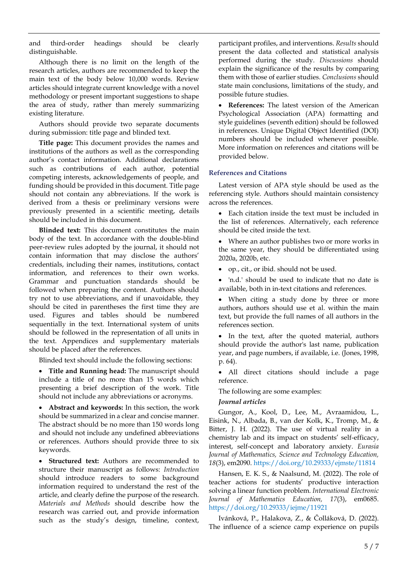and third-order headings should be clearly distinguishable.

Although there is no limit on the length of the research articles, authors are recommended to keep the main text of the body below 10,000 words. Review articles should integrate current knowledge with a novel methodology or present important suggestions to shape the area of study, rather than merely summarizing existing literature.

Authors should provide two separate documents during submission: title page and blinded text.

**Title page:** This document provides the names and institutions of the authors as well as the corresponding author's contact information. Additional declarations such as contributions of each author, potential competing interests, acknowledgements of people, and funding should be provided in this document. Title page should not contain any abbreviations. If the work is derived from a thesis or preliminary versions were previously presented in a scientific meeting, details should be included in this document.

**Blinded text:** This document constitutes the main body of the text. In accordance with the double-blind peer-review rules adopted by the journal, it should not contain information that may disclose the authors' credentials, including their names, institutions, contact information, and references to their own works. Grammar and punctuation standards should be followed when preparing the content. Authors should try not to use abbreviations, and if unavoidable, they should be cited in parentheses the first time they are used. Figures and tables should be numbered sequentially in the text. International system of units should be followed in the representation of all units in the text. Appendices and supplementary materials should be placed after the references.

Blinded text should include the following sections:

• **Title and Running head:** The manuscript should include a title of no more than 15 words which presenting a brief description of the work. Title should not include any abbreviations or acronyms.

• **Abstract and keywords:** In this section, the work should be summarized in a clear and concise manner. The abstract should be no more than 150 words long and should not include any undefined abbreviations or references. Authors should provide three to six keywords.

• **Structured text:** Authors are recommended to structure their manuscript as follows: *Introduction* should introduce readers to some background information required to understand the rest of the article, and clearly define the purpose of the research. *Materials and Methods* should describe how the research was carried out, and provide information such as the study's design, timeline, context, participant profiles, and interventions. *Results* should present the data collected and statistical analysis performed during the study. *Discussions* should explain the significance of the results by comparing them with those of earlier studies. *Conclusions* should state main conclusions, limitations of the study, and possible future studies.

• **References:** The latest version of the American Psychological Association (APA) formatting and style guidelines (seventh edition) should be followed in references. Unique Digital Object Identified (DOI) numbers should be included whenever possible. More information on references and citations will be provided below.

#### **References and Citations**

Latest version of APA style should be used as the referencing style. Authors should maintain consistency across the references.

• Each citation inside the text must be included in the list of references. Alternatively, each reference should be cited inside the text.

• Where an author publishes two or more works in the same year, they should be differentiated using 2020a, 2020b, etc.

• op., cit., or ibid. should not be used.

• 'n.d.' should be used to indicate that no date is available, both in in-text citations and references.

• When citing a study done by three or more authors, authors should use et al. within the main text, but provide the full names of all authors in the references section.

• In the text, after the quoted material, authors should provide the author's last name, publication year, and page numbers, if available, i.e. (Jones, 1998, p. 64).

• All direct citations should include a page reference.

The following are some examples:

#### *Journal articles*

Gungor, A., Kool, D., Lee, M., Avraamidou, L., Eisink, N., Albada, B., van der Kolk, K., Tromp, M., & Bitter, J. H. (2022). The use of virtual reality in a chemistry lab and its impact on students' self-efficacy, interest, self-concept and laboratory anxiety. *Eurasia Journal of Mathematics, Science and Technology Education, 18*(3), em2090. <https://doi.org/10.29333/ejmste/11814>

Hansen, E. K. S., & Naalsund, M. (2022). The role of teacher actions for students' productive interaction solving a linear function problem. *International Electronic Journal of Mathematics Education, 17*(3), em0685. <https://doi.org/10.29333/iejme/11921>

Ivánková, P., Halakova, Z., & Čolláková, D. (2022). The influence of a science camp experience on pupils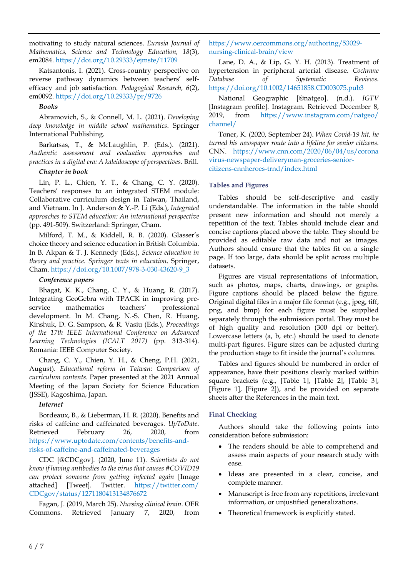motivating to study natural sciences. *Eurasia Journal of Mathematics, Science and Technology Education, 18*(3), em2084. <https://doi.org/10.29333/ejmste/11709>

Katsantonis, I. (2021). Cross-country perspective on reverse pathway dynamics between teachers' selfefficacy and job satisfaction. *Pedagogical Research, 6*(2), em0092. <https://doi.org/10.29333/pr/9726>

#### *Books*

Abramovich, S., & Connell, M. L. (2021). *Developing deep knowledge in middle school mathematics*. Springer International Publishing.

Barkatsas, T., & McLaughlin, P. (Eds.). (2021). *Authentic assessment and evaluation approaches and practices in a digital era: A kaleidoscope of perspectives*. Brill.

## *Chapter in book*

Lin, P. L., Chien, Y. T., & Chang, C. Y. (2020). Teachers' responses to an integrated STEM module: Collaborative curriculum design in Taiwan, Thailand, and Vietnam. In J. Anderson & Y.-P. Li (Eds.), *Integrated approaches to STEM education: An international perspective* (pp. 491-509). Switzerland: Springer, Cham.

Milford, T. M., & Kiddell, R. B. (2020). Glasser's choice theory and science education in British Columbia. In B. Akpan & T. J. Kennedy (Eds.), *Science education in theory and practice. Springer texts in education*. Springer, Cham. [https://doi.org/10.1007/978-3-030-43620-9\\_3](https://doi.org/10.1007/978-3-030-43620-9_3)

## *Conference papers*

Bhagat, K. K., Chang, C. Y., & Huang, R. (2017). Integrating GeoGebra with TPACK in improving preservice mathematics teachers' professional development. In M. Chang, N.-S. Chen, R. Huang, Kinshuk, D. G. Sampson, & R. Vasiu (Eds.), *Proceedings of the 17th IEEE International Conference on Advanced Learning Technologies (ICALT 2017)* (pp. 313-314). Romania: IEEE Computer Society.

Chang, C. Y., Chien, Y. H., & Cheng, P.H. (2021, August). *Educational reform in Taiwan: Comparison of curriculum contents*. Paper presented at the 2021 Annual Meeting of the Japan Society for Science Education (JSSE), Kagoshima, Japan.

## *Internet*

Bordeaux, B., & Lieberman, H. R. (2020). Benefits and risks of caffeine and caffeinated beverages. *UpToDate*. Retrieved February 26, 2020, from [https://www.uptodate.com/contents/benefits-and](https://www.uptodate.com/contents/benefits-and-risks-of-caffeine-and-caffeinated-beverages)[risks-of-caffeine-and-caffeinated-beverages](https://www.uptodate.com/contents/benefits-and-risks-of-caffeine-and-caffeinated-beverages)

CDC [@CDCgov]. (2020, June 11). *Scientists do not know if having antibodies to the virus that causes #COVID19 can protect someone from getting infected again* [Image attached] [Tweet]. Twitter. [https://twitter.com/](https://twitter.com/CDCgov/status/1271180413134876672) [CDCgov/status/1271180413134876672](https://twitter.com/CDCgov/status/1271180413134876672)

Fagan, J. (2019, March 25). *Nursing clinical brain*. OER Commons. Retrieved January 7, 2020, from

## [https://www.oercommons.org/authoring/53029](https://www.oercommons.org/authoring/53029-nursing-clinical-brain/view) [nursing-clinical-brain/view](https://www.oercommons.org/authoring/53029-nursing-clinical-brain/view)

Lane, D. A., & Lip, G. Y. H. (2013). Treatment of hypertension in peripheral arterial disease. *Cochrane Database of Systematic Reviews*. <https://doi.org/10.1002/14651858.CD003075.pub3>

National Geographic [@natgeo]. (n.d.). *IGTV* [Instagram profile]. Instagram. Retrieved December 8, 2019, from [https://www.instagram.com/natgeo/](https://www.instagram.com/natgeo/channel/) [channel/](https://www.instagram.com/natgeo/channel/)

Toner, K. (2020, September 24). *When Covid-19 hit, he turned his newspaper route into a lifeline for senior citizens*. CNN. [https://www.cnn.com/2020/06/04/us/corona](https://www.cnn.com/2020/06/04/us/coronavirus-newspaper-deliveryman-groceries-senior-citizens-cnnheroes-trnd/index.html) [virus-newspaper-deliveryman-groceries-senior](https://www.cnn.com/2020/06/04/us/coronavirus-newspaper-deliveryman-groceries-senior-citizens-cnnheroes-trnd/index.html)[citizens-cnnheroes-trnd/index.html](https://www.cnn.com/2020/06/04/us/coronavirus-newspaper-deliveryman-groceries-senior-citizens-cnnheroes-trnd/index.html)

## **Tables and Figures**

Tables should be self-descriptive and easily understandable. The information in the table should present new information and should not merely a repetition of the text. Tables should include clear and concise captions placed above the table. They should be provided as editable raw data and not as images. Authors should ensure that the tables fit on a single page. If too large, data should be split across multiple datasets.

Figures are visual representations of information, such as photos, maps, charts, drawings, or graphs. Figure captions should be placed below the figure. Original digital files in a major file format (e.g., jpeg, tiff, png, and bmp) for each figure must be supplied separately through the submission portal. They must be of high quality and resolution (300 dpi or better). Lowercase letters (a, b, etc.) should be used to denote multi-part figures. Figure sizes can be adjusted during the production stage to fit inside the journal's columns.

Tables and figures should be numbered in order of appearance, have their positions clearly marked within square brackets (e.g., [Table 1], [Table 2], [Table 3], [Figure 1], [Figure 2]), and be provided on separate sheets after the References in the main text.

## **Final Checking**

Authors should take the following points into consideration before submission:

- The readers should be able to comprehend and assess main aspects of your research study with ease.
- Ideas are presented in a clear, concise, and complete manner.
- Manuscript is free from any repetitions, irrelevant information, or unjustified generalizations.
- Theoretical framework is explicitly stated.